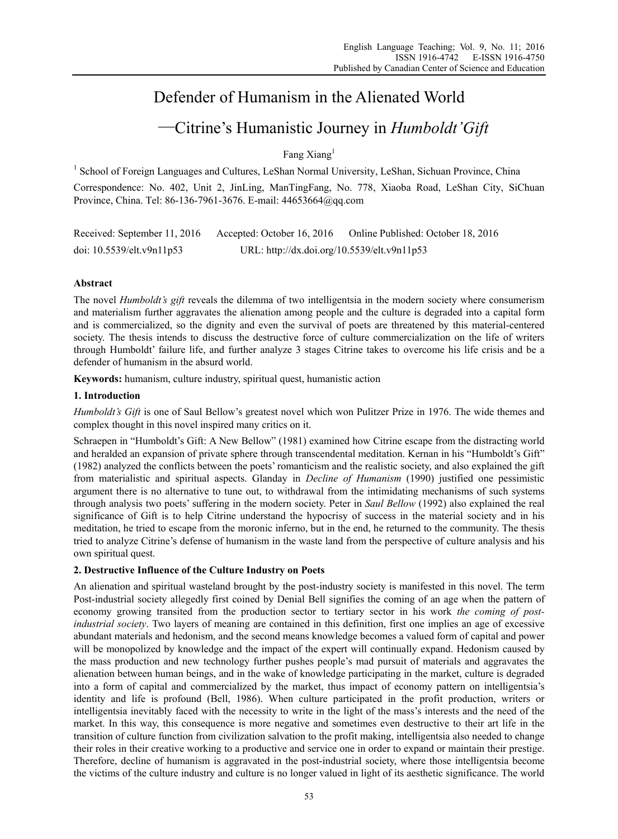# Defender of Humanism in the Alienated World

# —Citrine's Humanistic Journey in *Humboldt'Gift*

Fang Xiang<sup>1</sup>

<sup>1</sup> School of Foreign Languages and Cultures, LeShan Normal University, LeShan, Sichuan Province, China

Correspondence: No. 402, Unit 2, JinLing, ManTingFang, No. 778, Xiaoba Road, LeShan City, SiChuan Province, China. Tel: 86-136-7961-3676. E-mail: 44653664@qq.com

| Received: September 11, 2016 | Accepted: October 16, 2016                  | Online Published: October 18, 2016 |
|------------------------------|---------------------------------------------|------------------------------------|
| doi: 10.5539/elt.v9n11p53    | URL: http://dx.doi.org/10.5539/elt.v9n11p53 |                                    |

# **Abstract**

The novel *Humboldt's gift* reveals the dilemma of two intelligentsia in the modern society where consumerism and materialism further aggravates the alienation among people and the culture is degraded into a capital form and is commercialized, so the dignity and even the survival of poets are threatened by this material-centered society. The thesis intends to discuss the destructive force of culture commercialization on the life of writers through Humboldt' failure life, and further analyze 3 stages Citrine takes to overcome his life crisis and be a defender of humanism in the absurd world.

**Keywords:** humanism, culture industry, spiritual quest, humanistic action

# **1. Introduction**

*Humboldt's Gift* is one of Saul Bellow's greatest novel which won Pulitzer Prize in 1976. The wide themes and complex thought in this novel inspired many critics on it.

Schraepen in "Humboldt's Gift: A New Bellow" (1981) examined how Citrine escape from the distracting world and heralded an expansion of private sphere through transcendental meditation. Kernan in his "Humboldt's Gift" (1982) analyzed the conflicts between the poets' romanticism and the realistic society, and also explained the gift from materialistic and spiritual aspects. Glanday in *Decline of Humanism* (1990) justified one pessimistic argument there is no alternative to tune out, to withdrawal from the intimidating mechanisms of such systems through analysis two poets' suffering in the modern society. Peter in *Saul Bellow* (1992) also explained the real significance of Gift is to help Citrine understand the hypocrisy of success in the material society and in his meditation, he tried to escape from the moronic inferno, but in the end, he returned to the community. The thesis tried to analyze Citrine's defense of humanism in the waste land from the perspective of culture analysis and his own spiritual quest.

# **2. Destructive Influence of the Culture Industry on Poets**

An alienation and spiritual wasteland brought by the post-industry society is manifested in this novel. The term Post-industrial society allegedly first coined by Denial Bell signifies the coming of an age when the pattern of economy growing transited from the production sector to tertiary sector in his work *the coming of postindustrial society*. Two layers of meaning are contained in this definition, first one implies an age of excessive abundant materials and hedonism, and the second means knowledge becomes a valued form of capital and power will be monopolized by knowledge and the impact of the expert will continually expand. Hedonism caused by the mass production and new technology further pushes people's mad pursuit of materials and aggravates the alienation between human beings, and in the wake of knowledge participating in the market, culture is degraded into a form of capital and commercialized by the market, thus impact of economy pattern on intelligentsia's identity and life is profound (Bell, 1986). When culture participated in the profit production, writers or intelligentsia inevitably faced with the necessity to write in the light of the mass's interests and the need of the market. In this way, this consequence is more negative and sometimes even destructive to their art life in the transition of culture function from civilization salvation to the profit making, intelligentsia also needed to change their roles in their creative working to a productive and service one in order to expand or maintain their prestige. Therefore, decline of humanism is aggravated in the post-industrial society, where those intelligentsia become the victims of the culture industry and culture is no longer valued in light of its aesthetic significance. The world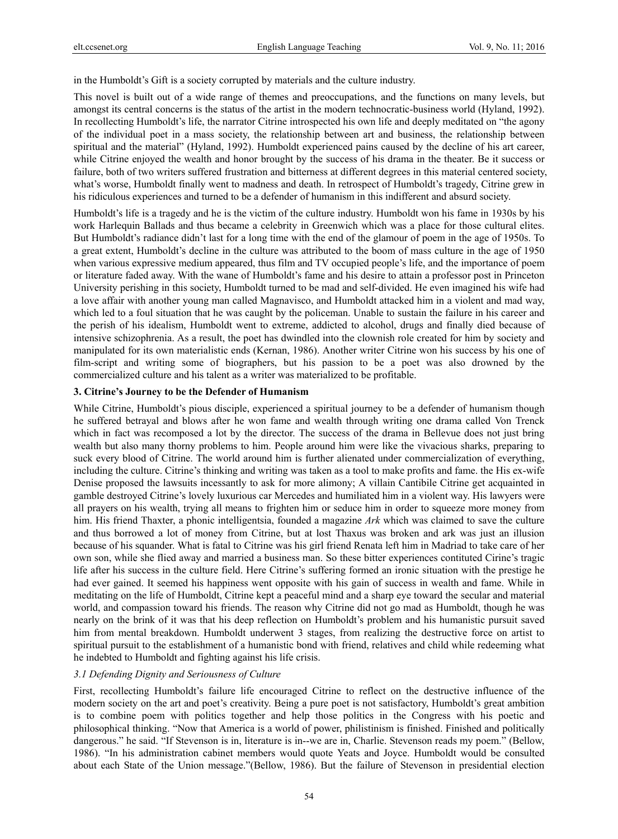in the Humboldt's Gift is a society corrupted by materials and the culture industry.

This novel is built out of a wide range of themes and preoccupations, and the functions on many levels, but amongst its central concerns is the status of the artist in the modern technocratic-business world (Hyland, 1992). In recollecting Humboldt's life, the narrator Citrine introspected his own life and deeply meditated on "the agony of the individual poet in a mass society, the relationship between art and business, the relationship between spiritual and the material" (Hyland, 1992). Humboldt experienced pains caused by the decline of his art career, while Citrine enjoyed the wealth and honor brought by the success of his drama in the theater. Be it success or failure, both of two writers suffered frustration and bitterness at different degrees in this material centered society, what's worse, Humboldt finally went to madness and death. In retrospect of Humboldt's tragedy, Citrine grew in his ridiculous experiences and turned to be a defender of humanism in this indifferent and absurd society.

Humboldt's life is a tragedy and he is the victim of the culture industry. Humboldt won his fame in 1930s by his work Harlequin Ballads and thus became a celebrity in Greenwich which was a place for those cultural elites. But Humboldt's radiance didn't last for a long time with the end of the glamour of poem in the age of 1950s. To a great extent, Humboldt's decline in the culture was attributed to the boom of mass culture in the age of 1950 when various expressive medium appeared, thus film and TV occupied people's life, and the importance of poem or literature faded away. With the wane of Humboldt's fame and his desire to attain a professor post in Princeton University perishing in this society, Humboldt turned to be mad and self-divided. He even imagined his wife had a love affair with another young man called Magnavisco, and Humboldt attacked him in a violent and mad way, which led to a foul situation that he was caught by the policeman. Unable to sustain the failure in his career and the perish of his idealism, Humboldt went to extreme, addicted to alcohol, drugs and finally died because of intensive schizophrenia. As a result, the poet has dwindled into the clownish role created for him by society and manipulated for its own materialistic ends (Kernan, 1986). Another writer Citrine won his success by his one of film-script and writing some of biographers, but his passion to be a poet was also drowned by the commercialized culture and his talent as a writer was materialized to be profitable.

#### **3. Citrine's Journey to be the Defender of Humanism**

While Citrine, Humboldt's pious disciple, experienced a spiritual journey to be a defender of humanism though he suffered betrayal and blows after he won fame and wealth through writing one drama called Von Trenck which in fact was recomposed a lot by the director. The success of the drama in Bellevue does not just bring wealth but also many thorny problems to him. People around him were like the vivacious sharks, preparing to suck every blood of Citrine. The world around him is further alienated under commercialization of everything, including the culture. Citrine's thinking and writing was taken as a tool to make profits and fame. the His ex-wife Denise proposed the lawsuits incessantly to ask for more alimony; A villain Cantibile Citrine get acquainted in gamble destroyed Citrine's lovely luxurious car Mercedes and humiliated him in a violent way. His lawyers were all prayers on his wealth, trying all means to frighten him or seduce him in order to squeeze more money from him. His friend Thaxter, a phonic intelligentsia, founded a magazine *Ark* which was claimed to save the culture and thus borrowed a lot of money from Citrine, but at lost Thaxus was broken and ark was just an illusion because of his squander. What is fatal to Citrine was his girl friend Renata left him in Madriad to take care of her own son, while she flied away and married a business man. So these bitter experiences contituted Cirine's tragic life after his success in the culture field. Here Citrine's suffering formed an ironic situation with the prestige he had ever gained. It seemed his happiness went opposite with his gain of success in wealth and fame. While in meditating on the life of Humboldt, Citrine kept a peaceful mind and a sharp eye toward the secular and material world, and compassion toward his friends. The reason why Citrine did not go mad as Humboldt, though he was nearly on the brink of it was that his deep reflection on Humboldt's problem and his humanistic pursuit saved him from mental breakdown. Humboldt underwent 3 stages, from realizing the destructive force on artist to spiritual pursuit to the establishment of a humanistic bond with friend, relatives and child while redeeming what he indebted to Humboldt and fighting against his life crisis.

## *3.1 Defending Dignity and Seriousness of Culture*

First, recollecting Humboldt's failure life encouraged Citrine to reflect on the destructive influence of the modern society on the art and poet's creativity. Being a pure poet is not satisfactory, Humboldt's great ambition is to combine poem with politics together and help those politics in the Congress with his poetic and philosophical thinking. "Now that America is a world of power, philistinism is finished. Finished and politically dangerous." he said. "If Stevenson is in, literature is in--we are in, Charlie. Stevenson reads my poem." (Bellow, 1986). "In his administration cabinet members would quote Yeats and Joyce. Humboldt would be consulted about each State of the Union message."(Bellow, 1986). But the failure of Stevenson in presidential election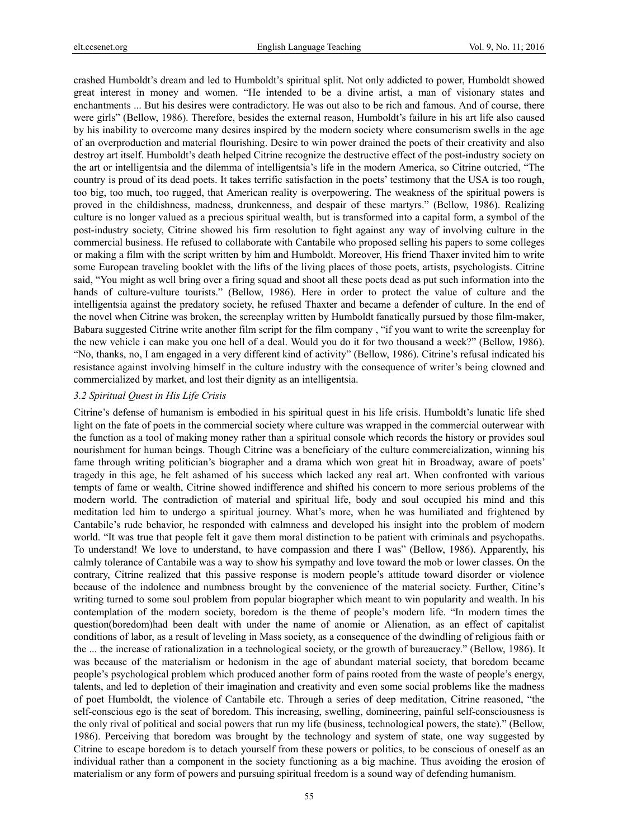crashed Humboldt's dream and led to Humboldt's spiritual split. Not only addicted to power, Humboldt showed great interest in money and women. "He intended to be a divine artist, a man of visionary states and enchantments ... But his desires were contradictory. He was out also to be rich and famous. And of course, there were girls" (Bellow, 1986). Therefore, besides the external reason, Humboldt's failure in his art life also caused by his inability to overcome many desires inspired by the modern society where consumerism swells in the age of an overproduction and material flourishing. Desire to win power drained the poets of their creativity and also destroy art itself. Humboldt's death helped Citrine recognize the destructive effect of the post-industry society on the art or intelligentsia and the dilemma of intelligentsia's life in the modern America, so Citrine outcried, "The country is proud of its dead poets. It takes terrific satisfaction in the poets' testimony that the USA is too rough, too big, too much, too rugged, that American reality is overpowering. The weakness of the spiritual powers is proved in the childishness, madness, drunkenness, and despair of these martyrs." (Bellow, 1986). Realizing culture is no longer valued as a precious spiritual wealth, but is transformed into a capital form, a symbol of the post-industry society, Citrine showed his firm resolution to fight against any way of involving culture in the commercial business. He refused to collaborate with Cantabile who proposed selling his papers to some colleges or making a film with the script written by him and Humboldt. Moreover, His friend Thaxer invited him to write some European traveling booklet with the lifts of the living places of those poets, artists, psychologists. Citrine said, "You might as well bring over a firing squad and shoot all these poets dead as put such information into the hands of culture-vulture tourists." (Bellow, 1986). Here in order to protect the value of culture and the intelligentsia against the predatory society, he refused Thaxter and became a defender of culture. In the end of the novel when Citrine was broken, the screenplay written by Humboldt fanatically pursued by those film-maker, Babara suggested Citrine write another film script for the film company , "if you want to write the screenplay for the new vehicle i can make you one hell of a deal. Would you do it for two thousand a week?" (Bellow, 1986). "No, thanks, no, I am engaged in a very different kind of activity" (Bellow, 1986). Citrine's refusal indicated his resistance against involving himself in the culture industry with the consequence of writer's being clowned and commercialized by market, and lost their dignity as an intelligentsia.

#### *3.2 Spiritual Quest in His Life Crisis*

Citrine's defense of humanism is embodied in his spiritual quest in his life crisis. Humboldt's lunatic life shed light on the fate of poets in the commercial society where culture was wrapped in the commercial outerwear with the function as a tool of making money rather than a spiritual console which records the history or provides soul nourishment for human beings. Though Citrine was a beneficiary of the culture commercialization, winning his fame through writing politician's biographer and a drama which won great hit in Broadway, aware of poets' tragedy in this age, he felt ashamed of his success which lacked any real art. When confronted with various tempts of fame or wealth, Citrine showed indifference and shifted his concern to more serious problems of the modern world. The contradiction of material and spiritual life, body and soul occupied his mind and this meditation led him to undergo a spiritual journey. What's more, when he was humiliated and frightened by Cantabile's rude behavior, he responded with calmness and developed his insight into the problem of modern world. "It was true that people felt it gave them moral distinction to be patient with criminals and psychopaths. To understand! We love to understand, to have compassion and there I was" (Bellow, 1986). Apparently, his calmly tolerance of Cantabile was a way to show his sympathy and love toward the mob or lower classes. On the contrary, Citrine realized that this passive response is modern people's attitude toward disorder or violence because of the indolence and numbness brought by the convenience of the material society. Further, Citine's writing turned to some soul problem from popular biographer which meant to win popularity and wealth. In his contemplation of the modern society, boredom is the theme of people's modern life. "In modern times the question(boredom)had been dealt with under the name of anomie or Alienation, as an effect of capitalist conditions of labor, as a result of leveling in Mass society, as a consequence of the dwindling of religious faith or the ... the increase of rationalization in a technological society, or the growth of bureaucracy." (Bellow, 1986). It was because of the materialism or hedonism in the age of abundant material society, that boredom became people's psychological problem which produced another form of pains rooted from the waste of people's energy, talents, and led to depletion of their imagination and creativity and even some social problems like the madness of poet Humboldt, the violence of Cantabile etc. Through a series of deep meditation, Citrine reasoned, "the self-conscious ego is the seat of boredom. This increasing, swelling, domineering, painful self-consciousness is the only rival of political and social powers that run my life (business, technological powers, the state)." (Bellow, 1986). Perceiving that boredom was brought by the technology and system of state, one way suggested by Citrine to escape boredom is to detach yourself from these powers or politics, to be conscious of oneself as an individual rather than a component in the society functioning as a big machine. Thus avoiding the erosion of materialism or any form of powers and pursuing spiritual freedom is a sound way of defending humanism.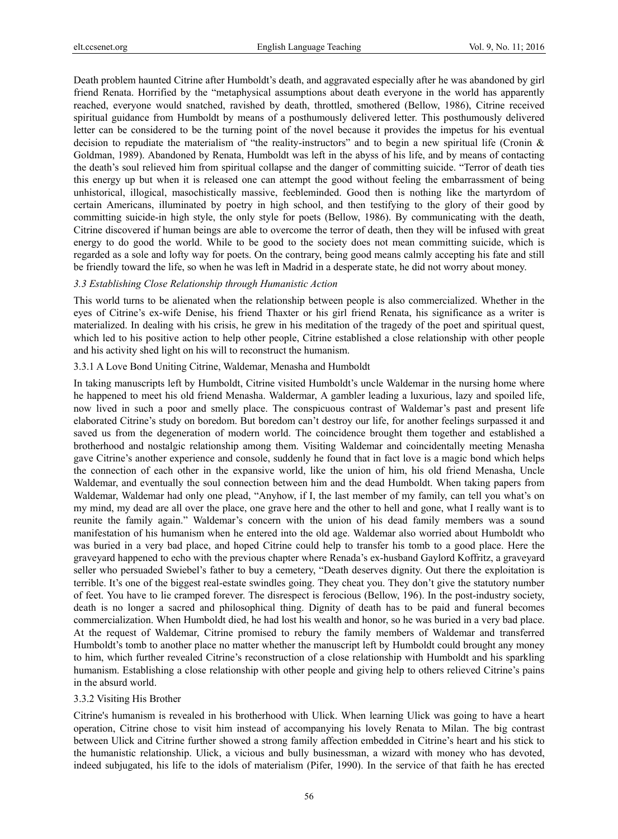Death problem haunted Citrine after Humboldt's death, and aggravated especially after he was abandoned by girl friend Renata. Horrified by the "metaphysical assumptions about death everyone in the world has apparently reached, everyone would snatched, ravished by death, throttled, smothered (Bellow, 1986), Citrine received spiritual guidance from Humboldt by means of a posthumously delivered letter. This posthumously delivered letter can be considered to be the turning point of the novel because it provides the impetus for his eventual decision to repudiate the materialism of "the reality-instructors" and to begin a new spiritual life (Cronin & Goldman, 1989). Abandoned by Renata, Humboldt was left in the abyss of his life, and by means of contacting the death's soul relieved him from spiritual collapse and the danger of committing suicide. "Terror of death ties this energy up but when it is released one can attempt the good without feeling the embarrassment of being unhistorical, illogical, masochistically massive, feebleminded. Good then is nothing like the martyrdom of certain Americans, illuminated by poetry in high school, and then testifying to the glory of their good by committing suicide-in high style, the only style for poets (Bellow, 1986). By communicating with the death, Citrine discovered if human beings are able to overcome the terror of death, then they will be infused with great energy to do good the world. While to be good to the society does not mean committing suicide, which is regarded as a sole and lofty way for poets. On the contrary, being good means calmly accepting his fate and still be friendly toward the life, so when he was left in Madrid in a desperate state, he did not worry about money.

### *3.3 Establishing Close Relationship through Humanistic Action*

This world turns to be alienated when the relationship between people is also commercialized. Whether in the eyes of Citrine's ex-wife Denise, his friend Thaxter or his girl friend Renata, his significance as a writer is materialized. In dealing with his crisis, he grew in his meditation of the tragedy of the poet and spiritual quest, which led to his positive action to help other people, Citrine established a close relationship with other people and his activity shed light on his will to reconstruct the humanism.

#### 3.3.1 A Love Bond Uniting Citrine, Waldemar, Menasha and Humboldt

In taking manuscripts left by Humboldt, Citrine visited Humboldt's uncle Waldemar in the nursing home where he happened to meet his old friend Menasha. Waldermar, A gambler leading a luxurious, lazy and spoiled life, now lived in such a poor and smelly place. The conspicuous contrast of Waldemar's past and present life elaborated Citrine's study on boredom. But boredom can't destroy our life, for another feelings surpassed it and saved us from the degeneration of modern world. The coincidence brought them together and established a brotherhood and nostalgic relationship among them. Visiting Waldemar and coincidentally meeting Menasha gave Citrine's another experience and console, suddenly he found that in fact love is a magic bond which helps the connection of each other in the expansive world, like the union of him, his old friend Menasha, Uncle Waldemar, and eventually the soul connection between him and the dead Humboldt. When taking papers from Waldemar, Waldemar had only one plead, "Anyhow, if I, the last member of my family, can tell you what's on my mind, my dead are all over the place, one grave here and the other to hell and gone, what I really want is to reunite the family again." Waldemar's concern with the union of his dead family members was a sound manifestation of his humanism when he entered into the old age. Waldemar also worried about Humboldt who was buried in a very bad place, and hoped Citrine could help to transfer his tomb to a good place. Here the graveyard happened to echo with the previous chapter where Renada's ex-husband Gaylord Koffritz, a graveyard seller who persuaded Swiebel's father to buy a cemetery, "Death deserves dignity. Out there the exploitation is terrible. It's one of the biggest real-estate swindles going. They cheat you. They don't give the statutory number of feet. You have to lie cramped forever. The disrespect is ferocious (Bellow, 196). In the post-industry society, death is no longer a sacred and philosophical thing. Dignity of death has to be paid and funeral becomes commercialization. When Humboldt died, he had lost his wealth and honor, so he was buried in a very bad place. At the request of Waldemar, Citrine promised to rebury the family members of Waldemar and transferred Humboldt's tomb to another place no matter whether the manuscript left by Humboldt could brought any money to him, which further revealed Citrine's reconstruction of a close relationship with Humboldt and his sparkling humanism. Establishing a close relationship with other people and giving help to others relieved Citrine's pains in the absurd world.

#### 3.3.2 Visiting His Brother

Citrine's humanism is revealed in his brotherhood with Ulick. When learning Ulick was going to have a heart operation, Citrine chose to visit him instead of accompanying his lovely Renata to Milan. The big contrast between Ulick and Citrine further showed a strong family affection embedded in Citrine's heart and his stick to the humanistic relationship. Ulick, a vicious and bully businessman, a wizard with money who has devoted, indeed subjugated, his life to the idols of materialism (Pifer, 1990). In the service of that faith he has erected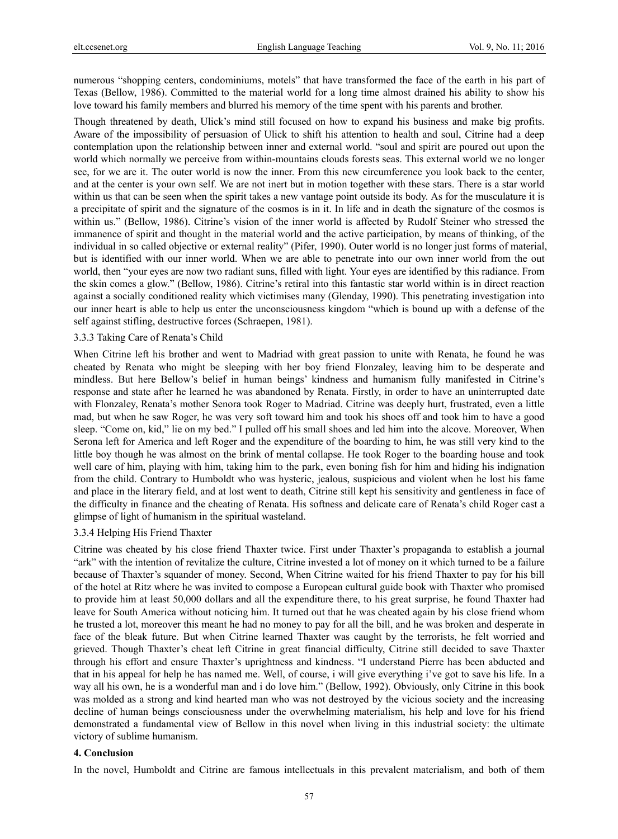numerous "shopping centers, condominiums, motels" that have transformed the face of the earth in his part of Texas (Bellow, 1986). Committed to the material world for a long time almost drained his ability to show his love toward his family members and blurred his memory of the time spent with his parents and brother.

Though threatened by death, Ulick's mind still focused on how to expand his business and make big profits. Aware of the impossibility of persuasion of Ulick to shift his attention to health and soul, Citrine had a deep contemplation upon the relationship between inner and external world. "soul and spirit are poured out upon the world which normally we perceive from within-mountains clouds forests seas. This external world we no longer see, for we are it. The outer world is now the inner. From this new circumference you look back to the center, and at the center is your own self. We are not inert but in motion together with these stars. There is a star world within us that can be seen when the spirit takes a new vantage point outside its body. As for the musculature it is a precipitate of spirit and the signature of the cosmos is in it. In life and in death the signature of the cosmos is within us." (Bellow, 1986). Citrine's vision of the inner world is affected by Rudolf Steiner who stressed the immanence of spirit and thought in the material world and the active participation, by means of thinking, of the individual in so called objective or external reality" (Pifer, 1990). Outer world is no longer just forms of material, but is identified with our inner world. When we are able to penetrate into our own inner world from the out world, then "your eyes are now two radiant suns, filled with light. Your eyes are identified by this radiance. From the skin comes a glow." (Bellow, 1986). Citrine's retiral into this fantastic star world within is in direct reaction against a socially conditioned reality which victimises many (Glenday, 1990). This penetrating investigation into our inner heart is able to help us enter the unconsciousness kingdom "which is bound up with a defense of the self against stifling, destructive forces (Schraepen, 1981).

#### 3.3.3 Taking Care of Renata's Child

When Citrine left his brother and went to Madriad with great passion to unite with Renata, he found he was cheated by Renata who might be sleeping with her boy friend Flonzaley, leaving him to be desperate and mindless. But here Bellow's belief in human beings' kindness and humanism fully manifested in Citrine's response and state after he learned he was abandoned by Renata. Firstly, in order to have an uninterrupted date with Flonzaley, Renata's mother Senora took Roger to Madriad. Citrine was deeply hurt, frustrated, even a little mad, but when he saw Roger, he was very soft toward him and took his shoes off and took him to have a good sleep. "Come on, kid," lie on my bed." I pulled off his small shoes and led him into the alcove. Moreover, When Serona left for America and left Roger and the expenditure of the boarding to him, he was still very kind to the little boy though he was almost on the brink of mental collapse. He took Roger to the boarding house and took well care of him, playing with him, taking him to the park, even boning fish for him and hiding his indignation from the child. Contrary to Humboldt who was hysteric, jealous, suspicious and violent when he lost his fame and place in the literary field, and at lost went to death, Citrine still kept his sensitivity and gentleness in face of the difficulty in finance and the cheating of Renata. His softness and delicate care of Renata's child Roger cast a glimpse of light of humanism in the spiritual wasteland.

## 3.3.4 Helping His Friend Thaxter

Citrine was cheated by his close friend Thaxter twice. First under Thaxter's propaganda to establish a journal "ark" with the intention of revitalize the culture, Citrine invested a lot of money on it which turned to be a failure because of Thaxter's squander of money. Second, When Citrine waited for his friend Thaxter to pay for his bill of the hotel at Ritz where he was invited to compose a European cultural guide book with Thaxter who promised to provide him at least 50,000 dollars and all the expenditure there, to his great surprise, he found Thaxter had leave for South America without noticing him. It turned out that he was cheated again by his close friend whom he trusted a lot, moreover this meant he had no money to pay for all the bill, and he was broken and desperate in face of the bleak future. But when Citrine learned Thaxter was caught by the terrorists, he felt worried and grieved. Though Thaxter's cheat left Citrine in great financial difficulty, Citrine still decided to save Thaxter through his effort and ensure Thaxter's uprightness and kindness. "I understand Pierre has been abducted and that in his appeal for help he has named me. Well, of course, i will give everything i've got to save his life. In a way all his own, he is a wonderful man and i do love him." (Bellow, 1992). Obviously, only Citrine in this book was molded as a strong and kind hearted man who was not destroyed by the vicious society and the increasing decline of human beings consciousness under the overwhelming materialism, his help and love for his friend demonstrated a fundamental view of Bellow in this novel when living in this industrial society: the ultimate victory of sublime humanism.

#### **4. Conclusion**

In the novel, Humboldt and Citrine are famous intellectuals in this prevalent materialism, and both of them